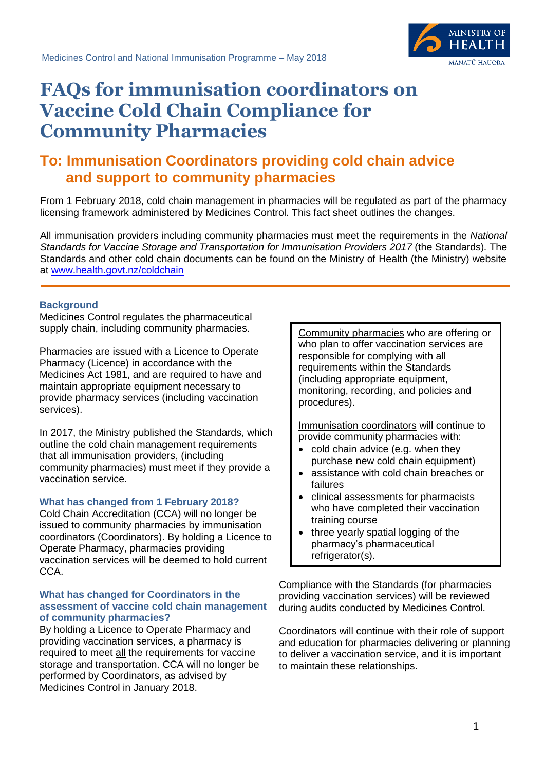

# **FAQs for immunisation coordinators on Vaccine Cold Chain Compliance for Community Pharmacies**

# **To: Immunisation Coordinators providing cold chain advice and support to community pharmacies**

From 1 February 2018, cold chain management in pharmacies will be regulated as part of the pharmacy licensing framework administered by Medicines Control. This fact sheet outlines the changes.

All immunisation providers including community pharmacies must meet the requirements in the *National Standards for Vaccine Storage and Transportation for Immunisation Providers 2017* (the Standards)*.* The Standards and other cold chain documents can be found on the Ministry of Health (the Ministry) website at [www.health.govt.nz/coldchain](http://www.health.govt.nz/coldchain)

# **Background**

Medicines Control regulates the pharmaceutical supply chain, including community pharmacies.

Pharmacies are issued with a Licence to Operate Pharmacy (Licence) in accordance with the Medicines Act 1981, and are required to have and maintain appropriate equipment necessary to provide pharmacy services (including vaccination services).

In 2017, the Ministry published the Standards, which outline the cold chain management requirements that all immunisation providers, (including community pharmacies) must meet if they provide a vaccination service.

# **What has changed from 1 February 2018?**

Cold Chain Accreditation (CCA) will no longer be issued to community pharmacies by immunisation coordinators (Coordinators). By holding a Licence to Operate Pharmacy, pharmacies providing vaccination services will be deemed to hold current CCA.

#### **What has changed for Coordinators in the assessment of vaccine cold chain management of community pharmacies?**

By holding a Licence to Operate Pharmacy and providing vaccination services, a pharmacy is required to meet all the requirements for vaccine storage and transportation. CCA will no longer be performed by Coordinators, as advised by Medicines Control in January 2018.

Community pharmacies who are offering or who plan to offer vaccination services are responsible for complying with all requirements within the Standards (including appropriate equipment, monitoring, recording, and policies and procedures).

Immunisation coordinators will continue to provide community pharmacies with:

- cold chain advice (e.g. when they purchase new cold chain equipment)
- assistance with cold chain breaches or failures
- clinical assessments for pharmacists who have completed their vaccination training course
- three yearly spatial logging of the pharmacy's pharmaceutical refrigerator(s).

Compliance with the Standards (for pharmacies providing vaccination services) will be reviewed during audits conducted by Medicines Control.

Coordinators will continue with their role of support and education for pharmacies delivering or planning to deliver a vaccination service, and it is important to maintain these relationships.